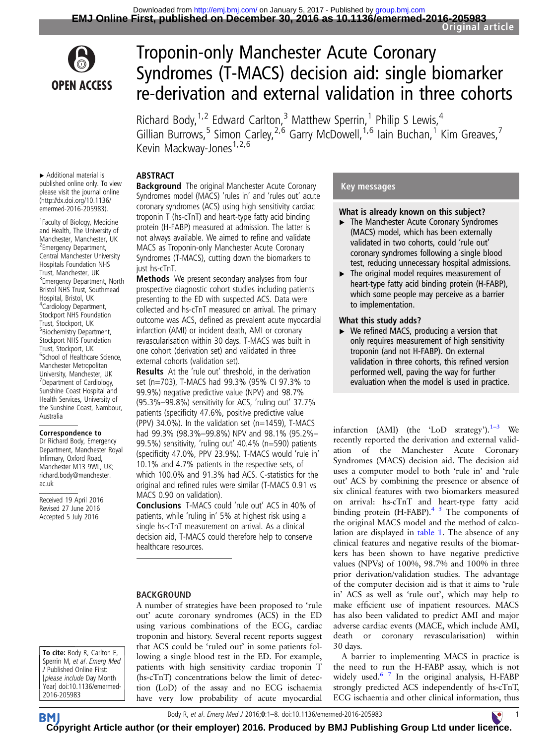



# Troponin-only Manchester Acute Coronary Syndromes (T-MACS) decision aid: single biomarker re-derivation and external validation in three cohorts

Richard Body,  $1.2$  Edward Carlton, <sup>3</sup> Matthew Sperrin, <sup>1</sup> Philip S Lewis, <sup>4</sup> Gillian Burrows,<sup>5</sup> Simon Carley,<sup>2,6</sup> Garry McDowell,<sup>1,6</sup> Iain Buchan,<sup>1</sup> Kim Greaves,<sup>7</sup> Kevin Mackway-Jones<sup>1,2,6</sup>

#### ABSTRACT

▸ Additional material is published online only. To view please visit the journal online [\(http://dx.doi.org/10.1136/](http://dx.doi.org/10.1136/emermed-2016-205983) [emermed-2016-205983](http://dx.doi.org/10.1136/emermed-2016-205983)).

1 Faculty of Biology, Medicine and Health, The University of Manchester, Manchester, UK <sup>2</sup> Emergency Department, Central Manchester University Hospitals Foundation NHS Trust, Manchester, UK <sup>3</sup> Emergency Department, North Bristol NHS Trust, Southmead Hospital, Bristol, UK 4 Cardiology Department, Stockport NHS Foundation Trust, Stockport, UK 5 Biochemistry Department, Stockport NHS Foundation Trust, Stockport, UK <sup>6</sup>School of Healthcare Science, Manchester Metropolitan University, Manchester, UK <sup>7</sup> Department of Cardiology, Sunshine Coast Hospital and Health Services, University of the Sunshine Coast, Nambour, Australia

#### Correspondence to

Dr Richard Body, Emergency Department, Manchester Royal Infirmary, Oxford Road, Manchester M13 9WL, UK; richard.body@manchester. ac.uk

Received 19 April 2016 Revised 27 June 2016 Accepted 5 July 2016

To cite: Body R, Carlton E, Sperrin M, et al. Emerg Med J Published Online First: [please include Day Month Year] doi:10.1136/emermed-2016-205983

**Background** The original Manchester Acute Coronary Syndromes model (MACS) 'rules in' and 'rules out' acute coronary syndromes (ACS) using high sensitivity cardiac troponin T (hs-cTnT) and heart-type fatty acid binding protein (H-FABP) measured at admission. The latter is not always available. We aimed to refine and validate MACS as Troponin-only Manchester Acute Coronary Syndromes (T-MACS), cutting down the biomarkers to just hs-cTnT.

Methods We present secondary analyses from four prospective diagnostic cohort studies including patients presenting to the ED with suspected ACS. Data were collected and hs-cTnT measured on arrival. The primary outcome was ACS, defined as prevalent acute myocardial infarction (AMI) or incident death, AMI or coronary revascularisation within 30 days. T-MACS was built in one cohort (derivation set) and validated in three external cohorts (validation set).

Results At the 'rule out' threshold, in the derivation set (n=703), T-MACS had 99.3% (95% CI 97.3% to 99.9%) negative predictive value (NPV) and 98.7% (95.3%–99.8%) sensitivity for ACS, 'ruling out' 37.7% patients (specificity 47.6%, positive predictive value (PPV) 34.0%). In the validation set (n=1459), T-MACS had 99.3% (98.3%–99.8%) NPV and 98.1% (95.2%– 99.5%) sensitivity, 'ruling out' 40.4% (n=590) patients (specificity 47.0%, PPV 23.9%). T-MACS would 'rule in' 10.1% and 4.7% patients in the respective sets, of which 100.0% and 91.3% had ACS. C-statistics for the original and refined rules were similar (T-MACS 0.91 vs MACS 0.90 on validation).

Conclusions T-MACS could 'rule out' ACS in 40% of patients, while 'ruling in' 5% at highest risk using a single hs-cTnT measurement on arrival. As a clinical decision aid, T-MACS could therefore help to conserve healthcare resources.

#### BACKGROUND

A number of strategies have been proposed to 'rule out' acute coronary syndromes (ACS) in the ED using various combinations of the ECG, cardiac troponin and history. Several recent reports suggest that ACS could be 'ruled out' in some patients following a single blood test in the ED. For example, patients with high sensitivity cardiac troponin T (hs-cTnT) concentrations below the limit of detection (LoD) of the assay and no ECG ischaemia have very low probability of acute myocardial

#### Key messages

#### What is already known on this subject?

- ▸ The Manchester Acute Coronary Syndromes (MACS) model, which has been externally validated in two cohorts, could 'rule out' coronary syndromes following a single blood test, reducing unnecessary hospital admissions.
- $\triangleright$  The original model requires measurement of heart-type fatty acid binding protein (H-FABP), which some people may perceive as a barrier to implementation.

#### What this study adds?

 $\triangleright$  We refined MACS, producing a version that only requires measurement of high sensitivity troponin (and not H-FABP). On external validation in three cohorts, this refined version performed well, paving the way for further evaluation when the model is used in practice.

infarction (AMI) (the 'LoD strategy'). $1-3$  $1-3$  We recently reported the derivation and external validation of the Manchester Acute Coronary Syndromes (MACS) decision aid. The decision aid uses a computer model to both 'rule in' and 'rule out' ACS by combining the presence or absence of six clinical features with two biomarkers measured on arrival: hs-cTnT and heart-type fatty acid binding protein (H-FABP). $4 \times 5$  The components of the original MACS model and the method of calculation are displayed in [table 1](#page-1-0). The absence of any clinical features and negative results of the biomarkers has been shown to have negative predictive values (NPVs) of 100%, 98.7% and 100% in three prior derivation/validation studies. The advantage of the computer decision aid is that it aims to 'rule in' ACS as well as 'rule out', which may help to make efficient use of inpatient resources. MACS has also been validated to predict AMI and major adverse cardiac events (MACE, which include AMI, death or coronary revascularisation) within 30 days.

A barrier to implementing MACS in practice is the need to run the H-FABP assay, which is not widely used.<sup>[6 7](#page-6-0)</sup> In the original analysis, H-FABP strongly predicted ACS independently of hs-cTnT, ECG ischaemia and other clinical information, thus

Body R, et al. Emerg Med J 2016;0:1–8. doi:10.1136/emermed-2016-205983 1

**BM [Cop](http://emj.bmj.com)yright Article author (or their employer) 2016. Produced by BMJ Publishing Group Ltd under lic[enc](http://www.collemergencymed.ac.uk/)e.**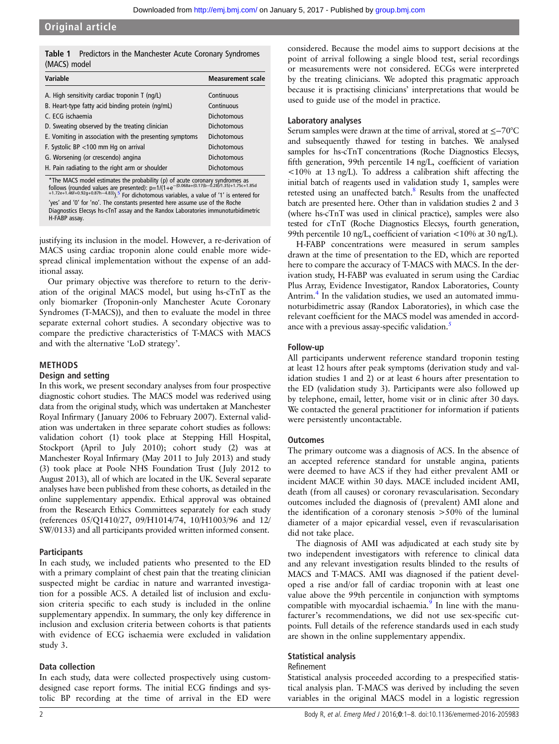<span id="page-1-0"></span>Table 1 Predictors in the Manchester Acute Coronary Syndromes (MACS) model

| Variable                                                | <b>Measurement scale</b> |
|---------------------------------------------------------|--------------------------|
| A. High sensitivity cardiac troponin T (ng/L)           | Continuous               |
| B. Heart-type fatty acid binding protein (ng/mL)        | Continuous               |
| C. ECG ischaemia                                        | <b>Dichotomous</b>       |
| D. Sweating observed by the treating clinician          | <b>Dichotomous</b>       |
| E. Vomiting in association with the presenting symptoms | <b>Dichotomous</b>       |
| F. Systolic BP <100 mm Hg on arrival                    | <b>Dichotomous</b>       |
| G. Worsening (or crescendo) angina                      | <b>Dichotomous</b>       |
| H. Pain radiating to the right arm or shoulder          | <b>Dichotomous</b>       |

\*The MACS model estimates the probability (p) of acute coronary syndromes as<br>follows (rounded values are presented): p=1/(1+e<sup>-(0.068a+(0.17(b–0.28)/1.35)+1.75c+1.85d<br>+1.72e+1.46f+0.92g+0.87h–4.83)<sub>.</sub>5 For dichotomous vari</sup> 'yes' and '0' for 'no'. The constants presented here assume use of the Roche Diagnostics Elecsys hs-cTnT assay and the Randox Laboratories immunoturbidimetric

justifying its inclusion in the model. However, a re-derivation of MACS using cardiac troponin alone could enable more widespread clinical implementation without the expense of an additional assay.

Our primary objective was therefore to return to the derivation of the original MACS model, but using hs-cTnT as the only biomarker (Troponin-only Manchester Acute Coronary Syndromes (T-MACS)), and then to evaluate the model in three separate external cohort studies. A secondary objective was to compare the predictive characteristics of T-MACS with MACS and with the alternative 'LoD strategy'.

#### METHODS

H-FABP assay.

#### Design and setting

In this work, we present secondary analyses from four prospective diagnostic cohort studies. The MACS model was rederived using data from the original study, which was undertaken at Manchester Royal Infirmary ( January 2006 to February 2007). External validation was undertaken in three separate cohort studies as follows: validation cohort (1) took place at Stepping Hill Hospital, Stockport (April to July 2010); cohort study (2) was at Manchester Royal Infirmary (May 2011 to July 2013) and study (3) took place at Poole NHS Foundation Trust ( July 2012 to August 2013), all of which are located in the UK. Several separate analyses have been published from these cohorts, as detailed in the online supplementary appendix. Ethical approval was obtained from the Research Ethics Committees separately for each study (references 05/Q1410/27, 09/H1014/74, 10/H1003/96 and 12/ SW/0133) and all participants provided written informed consent.

#### **Participants**

In each study, we included patients who presented to the ED with a primary complaint of chest pain that the treating clinician suspected might be cardiac in nature and warranted investigation for a possible ACS. A detailed list of inclusion and exclusion criteria specific to each study is included in the online supplementary appendix. In summary, the only key difference in inclusion and exclusion criteria between cohorts is that patients with evidence of ECG ischaemia were excluded in validation study 3.

#### Data collection

In each study, data were collected prospectively using customdesigned case report forms. The initial ECG findings and systolic BP recording at the time of arrival in the ED were considered. Because the model aims to support decisions at the point of arrival following a single blood test, serial recordings or measurements were not considered. ECGs were interpreted by the treating clinicians. We adopted this pragmatic approach because it is practising clinicians' interpretations that would be used to guide use of the model in practice.

#### Laboratory analyses

Serum samples were drawn at the time of arrival, stored at ≤−70°C and subsequently thawed for testing in batches. We analysed samples for hs-cTnT concentrations (Roche Diagnostics Elecsys, fifth generation, 99th percentile 14 ng/L, coefficient of variation <10% at 13 ng/L). To address a calibration shift affecting the initial batch of reagents used in validation study 1, samples were retested using an unaffected batch.<sup>[8](#page-6-0)</sup> Results from the unaffected batch are presented here. Other than in validation studies 2 and 3 (where hs-cTnT was used in clinical practice), samples were also tested for cTnT (Roche Diagnostics Elecsys, fourth generation, 99th percentile 10 ng/L, coefficient of variation <10% at 30 ng/L).

H-FABP concentrations were measured in serum samples drawn at the time of presentation to the ED, which are reported here to compare the accuracy of T-MACS with MACS. In the derivation study, H-FABP was evaluated in serum using the Cardiac Plus Array, Evidence Investigator, Randox Laboratories, County Antrim.<sup>[4](#page-6-0)</sup> In the validation studies, we used an automated immunoturbidimetric assay (Randox Laboratories), in which case the relevant coefficient for the MACS model was amended in accord-ance with a previous assay-specific validation.<sup>[5](#page-6-0)</sup>

#### Follow-up

All participants underwent reference standard troponin testing at least 12 hours after peak symptoms (derivation study and validation studies 1 and 2) or at least 6 hours after presentation to the ED (validation study 3). Participants were also followed up by telephone, email, letter, home visit or in clinic after 30 days. We contacted the general practitioner for information if patients were persistently uncontactable.

#### **Outcomes**

The primary outcome was a diagnosis of ACS. In the absence of an accepted reference standard for unstable angina, patients were deemed to have ACS if they had either prevalent AMI or incident MACE within 30 days. MACE included incident AMI, death (from all causes) or coronary revascularisation. Secondary outcomes included the diagnosis of (prevalent) AMI alone and the identification of a coronary stenosis >50% of the luminal diameter of a major epicardial vessel, even if revascularisation did not take place.

The diagnosis of AMI was adjudicated at each study site by two independent investigators with reference to clinical data and any relevant investigation results blinded to the results of MACS and T-MACS. AMI was diagnosed if the patient developed a rise and/or fall of cardiac troponin with at least one value above the 99th percentile in conjunction with symptoms compatible with myocardial ischaemia.<sup>9</sup> In line with the manufacturer's recommendations, we did not use sex-specific cutpoints. Full details of the reference standards used in each study are shown in the online supplementary appendix.

#### Statistical analysis

#### Refinement

Statistical analysis proceeded according to a prespecified statistical analysis plan. T-MACS was derived by including the seven variables in the original MACS model in a logistic regression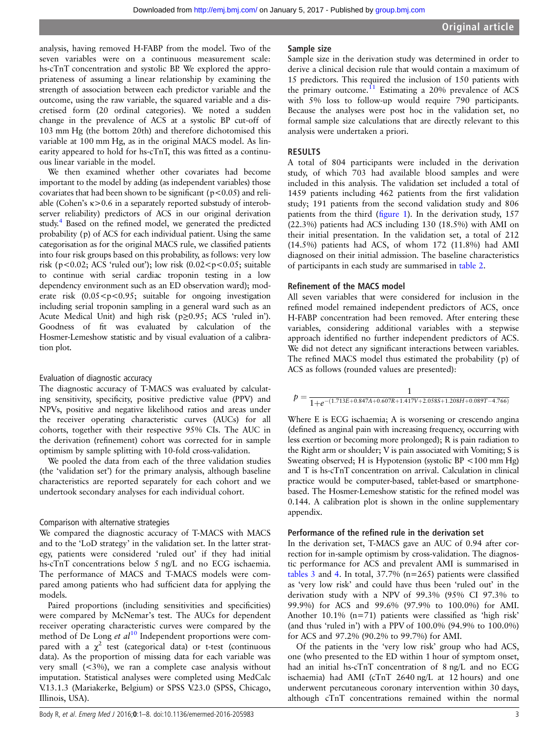analysis, having removed H-FABP from the model. Two of the seven variables were on a continuous measurement scale: hs-cTnT concentration and systolic BP. We explored the appropriateness of assuming a linear relationship by examining the strength of association between each predictor variable and the outcome, using the raw variable, the squared variable and a discretised form (20 ordinal categories). We noted a sudden change in the prevalence of ACS at a systolic BP cut-off of 103 mm Hg (the bottom 20th) and therefore dichotomised this variable at 100 mm Hg, as in the original MACS model. As linearity appeared to hold for hs-cTnT, this was fitted as a continuous linear variable in the model.

We then examined whether other covariates had become important to the model by adding (as independent variables) those covariates that had been shown to be significant ( $p < 0.05$ ) and reliable (Cohen's κ>0.6 in a separately reported substudy of interobserver reliability) predictors of ACS in our original derivation study.<sup>[4](#page-6-0)</sup> Based on the refined model, we generated the predicted probability (p) of ACS for each individual patient. Using the same categorisation as for the original MACS rule, we classified patients into four risk groups based on this probability, as follows: very low risk (p<0.02; ACS 'ruled out'); low risk  $(0.02 < p < 0.05$ ; suitable to continue with serial cardiac troponin testing in a low dependency environment such as an ED observation ward); moderate risk  $(0.05 < p < 0.95$ ; suitable for ongoing investigation including serial troponin sampling in a general ward such as an Acute Medical Unit) and high risk (p≥0.95; ACS 'ruled in'). Goodness of fit was evaluated by calculation of the Hosmer-Lemeshow statistic and by visual evaluation of a calibration plot.

#### Evaluation of diagnostic accuracy

The diagnostic accuracy of T-MACS was evaluated by calculating sensitivity, specificity, positive predictive value (PPV) and NPVs, positive and negative likelihood ratios and areas under the receiver operating characteristic curves (AUCs) for all cohorts, together with their respective 95% CIs. The AUC in the derivation (refinement) cohort was corrected for in sample optimism by sample splitting with 10-fold cross-validation.

We pooled the data from each of the three validation studies (the 'validation set') for the primary analysis, although baseline characteristics are reported separately for each cohort and we undertook secondary analyses for each individual cohort.

#### Comparison with alternative strategies

We compared the diagnostic accuracy of T-MACS with MACS and to the 'LoD strategy' in the validation set. In the latter strategy, patients were considered 'ruled out' if they had initial hs-cTnT concentrations below 5 ng/L and no ECG ischaemia. The performance of MACS and T-MACS models were compared among patients who had sufficient data for applying the models.

Paired proportions (including sensitivities and specificities) were compared by McNemar's test. The AUCs for dependent receiver operating characteristic curves were compared by the method of De Long et  $al^{10}$  $al^{10}$  $al^{10}$  Independent proportions were compared with a  $\chi^2$  test (categorical data) or t-test (continuous data). As the proportion of missing data for each variable was very small (<3%), we ran a complete case analysis without imputation. Statistical analyses were completed using MedCalc V.13.1.3 (Mariakerke, Belgium) or SPSS V.23.0 (SPSS, Chicago, Illinois, USA).

Sample size in the derivation study was determined in order to derive a clinical decision rule that would contain a maximum of 15 predictors. This required the inclusion of 150 patients with the primary outcome. $^{11}$  $^{11}$  $^{11}$  Estimating a 20% prevalence of ACS with 5% loss to follow-up would require 790 participants. Because the analyses were post hoc in the validation set, no formal sample size calculations that are directly relevant to this analysis were undertaken a priori.

#### RESULTS

A total of 804 participants were included in the derivation study, of which 703 had available blood samples and were included in this analysis. The validation set included a total of 1459 patients including 462 patients from the first validation study; 191 patients from the second validation study and 806 patients from the third (fi[gure 1](#page-3-0)). In the derivation study, 157 (22.3%) patients had ACS including 130 (18.5%) with AMI on their initial presentation. In the validation set, a total of 212  $(14.5\%)$  patients had ACS, of whom 172  $(11.8\%)$  had AMI diagnosed on their initial admission. The baseline characteristics of participants in each study are summarised in [table 2](#page-3-0).

#### Refinement of the MACS model

All seven variables that were considered for inclusion in the refined model remained independent predictors of ACS, once H-FABP concentration had been removed. After entering these variables, considering additional variables with a stepwise approach identified no further independent predictors of ACS. We did not detect any significant interactions between variables. The refined MACS model thus estimated the probability (p) of ACS as follows (rounded values are presented):

$$
p=\frac{1}{1\!+\!e^{-(1.713E+0.847A+0.607R+1.417V+2.058S+1.208H+0.089T-4.766)}}
$$

Where E is ECG ischaemia; A is worsening or crescendo angina (defined as anginal pain with increasing frequency, occurring with less exertion or becoming more prolonged); R is pain radiation to the Right arm or shoulder; V is pain associated with Vomiting; S is Sweating observed; H is Hypotension (systolic BP <100 mm Hg) and T is hs-cTnT concentration on arrival. Calculation in clinical practice would be computer-based, tablet-based or smartphonebased. The Hosmer-Lemeshow statistic for the refined model was 0.144. A calibration plot is shown in the online supplementary appendix.

#### Performance of the refined rule in the derivation set

In the derivation set, T-MACS gave an AUC of 0.94 after correction for in-sample optimism by cross-validation. The diagnostic performance for ACS and prevalent AMI is summarised in [tables 3](#page-4-0) and [4.](#page-4-0) In total, 37.7% (n=265) patients were classified as 'very low risk' and could have thus been 'ruled out' in the derivation study with a NPV of 99.3% (95% CI 97.3% to 99.9%) for ACS and 99.6% (97.9% to 100.0%) for AMI. Another 10.1% (n=71) patients were classified as 'high risk' (and thus 'ruled in') with a PPV of 100.0% (94.9% to 100.0%) for ACS and 97.2% (90.2% to 99.7%) for AMI.

Of the patients in the 'very low risk' group who had ACS, one (who presented to the ED within 1 hour of symptom onset, had an initial hs-cTnT concentration of 8 ng/L and no ECG ischaemia) had AMI (cTnT 2640 ng/L at 12 hours) and one underwent percutaneous coronary intervention within 30 days, although cTnT concentrations remained within the normal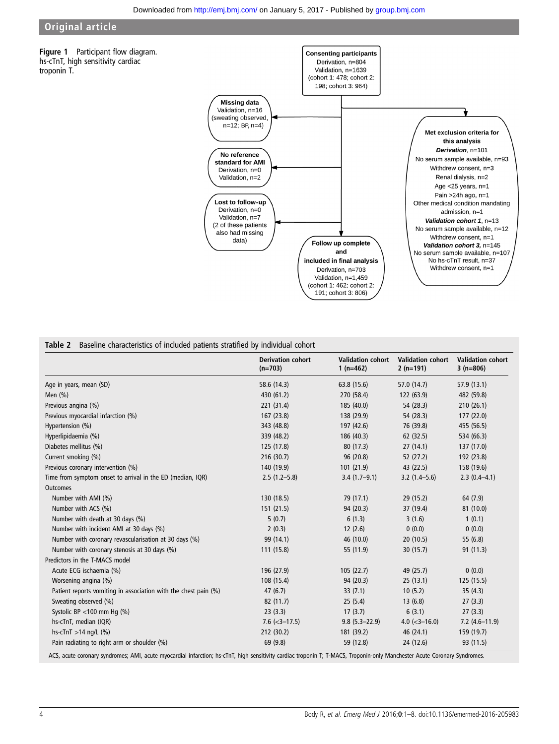#### Downloaded from<http://emj.bmj.com/>on January 5, 2017 - Published by [group.bmj.com](http://group.bmj.com)

<span id="page-3-0"></span>

#### Table 2 Baseline characteristics of included patients stratified by individual cohort

|                                                                 | <b>Derivation cohort</b><br>$(n=703)$ | <b>Validation cohort</b><br>1 $(n=462)$ | <b>Validation cohort</b><br>$2(n=191)$ | <b>Validation cohort</b><br>$3(n=806)$ |
|-----------------------------------------------------------------|---------------------------------------|-----------------------------------------|----------------------------------------|----------------------------------------|
| Age in years, mean (SD)                                         | 58.6 (14.3)                           | 63.8 (15.6)                             | 57.0 (14.7)                            | 57.9 (13.1)                            |
| Men $(\%)$                                                      | 430 (61.2)                            | 270 (58.4)                              | 122 (63.9)                             | 482 (59.8)                             |
| Previous angina (%)                                             | 221 (31.4)                            | 185 (40.0)                              | 54 (28.3)                              | 210(26.1)                              |
| Previous myocardial infarction (%)                              | 167 (23.8)                            | 138 (29.9)                              | 54 (28.3)                              | 177(22.0)                              |
| Hypertension (%)                                                | 343 (48.8)                            | 197 (42.6)                              | 76 (39.8)                              | 455 (56.5)                             |
| Hyperlipidaemia (%)                                             | 339 (48.2)                            | 186 (40.3)                              | 62 (32.5)                              | 534 (66.3)                             |
| Diabetes mellitus (%)                                           | 125 (17.8)                            | 80 (17.3)                               | 27(14.1)                               | 137 (17.0)                             |
| Current smoking (%)                                             | 216 (30.7)                            | 96 (20.8)                               | 52 (27.2)                              | 192 (23.8)                             |
| Previous coronary intervention (%)                              | 140 (19.9)                            | 101(21.9)                               | 43 (22.5)                              | 158 (19.6)                             |
| Time from symptom onset to arrival in the ED (median, IQR)      | $2.5(1.2 - 5.8)$                      | $3.4(1.7-9.1)$                          | $3.2(1.4-5.6)$                         | $2.3(0.4-4.1)$                         |
| Outcomes                                                        |                                       |                                         |                                        |                                        |
| Number with AMI (%)                                             | 130 (18.5)                            | 79 (17.1)                               | 29 (15.2)                              | 64 (7.9)                               |
| Number with ACS (%)                                             | 151 (21.5)                            | 94 (20.3)                               | 37 (19.4)                              | 81(10.0)                               |
| Number with death at 30 days (%)                                | 5(0.7)                                | 6(1.3)                                  | 3(1.6)                                 | 1(0.1)                                 |
| Number with incident AMI at 30 days (%)                         | 2(0.3)                                | 12(2.6)                                 | 0(0.0)                                 | 0(0.0)                                 |
| Number with coronary revascularisation at 30 days (%)           | 99 (14.1)                             | 46 (10.0)                               | 20(10.5)                               | 55 (6.8)                               |
| Number with coronary stenosis at 30 days (%)                    | 111 (15.8)                            | 55 (11.9)                               | 30(15.7)                               | 91(11.3)                               |
| Predictors in the T-MACS model                                  |                                       |                                         |                                        |                                        |
| Acute ECG ischaemia (%)                                         | 196 (27.9)                            | 105(22.7)                               | 49 (25.7)                              | 0(0.0)                                 |
| Worsening angina (%)                                            | 108 (15.4)                            | 94 (20.3)                               | 25(13.1)                               | 125 (15.5)                             |
| Patient reports vomiting in association with the chest pain (%) | 47(6.7)                               | 33(7.1)                                 | 10(5.2)                                | 35(4.3)                                |
| Sweating observed (%)                                           | 82 (11.7)                             | 25(5.4)                                 | 13(6.8)                                | 27(3.3)                                |
| Systolic BP <100 mm Hq (%)                                      | 23(3.3)                               | 17(3.7)                                 | 6(3.1)                                 | 27(3.3)                                |
| hs-cTnT, median (IQR)                                           | $7.6$ ( $<$ 3–17.5)                   | $9.8(5.3 - 22.9)$                       | 4.0 $(<3-16.0)$                        | $7.2(4.6 - 11.9)$                      |
| hs-c $TnT > 14$ ng/L (%)                                        | 212 (30.2)                            | 181 (39.2)                              | 46 (24.1)                              | 159 (19.7)                             |
| Pain radiating to right arm or shoulder (%)                     | 69 (9.8)                              | 59 (12.8)                               | 24 (12.6)                              | 93 (11.5)                              |

ACS, acute coronary syndromes; AMI, acute myocardial infarction; hs-cTnT, high sensitivity cardiac troponin T; T-MACS, Troponin-only Manchester Acute Coronary Syndromes.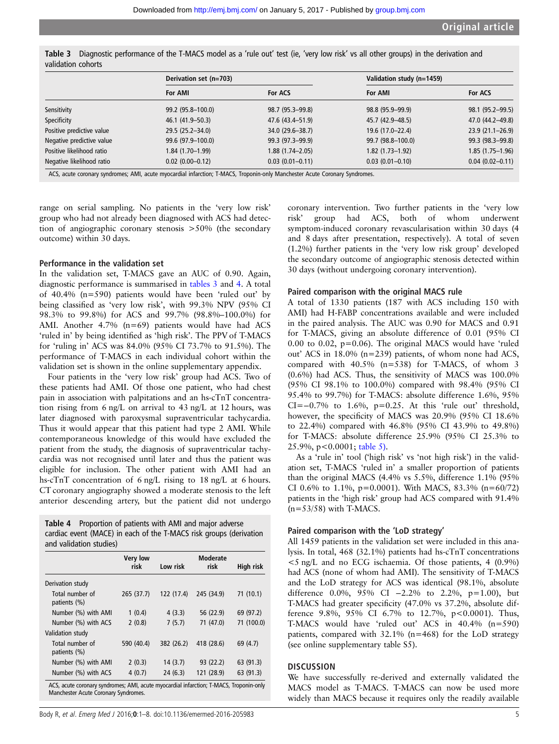<span id="page-4-0"></span>Table 3 Diagnostic performance of the T-MACS model as a 'rule out' test (ie, 'very low risk' vs all other groups) in the derivation and validation cohorts

|                           | Derivation set (n=703) |                     | Validation study (n=1459) |                     |
|---------------------------|------------------------|---------------------|---------------------------|---------------------|
|                           | <b>For AMI</b>         | For ACS             | For AMI                   | For ACS             |
| Sensitivity               | 99.2 (95.8-100.0)      | 98.7 (95.3-99.8)    | 98.8 (95.9-99.9)          | 98.1 (95.2-99.5)    |
| Specificity               | 46.1 (41.9–50.3)       | 47.6 (43.4–51.9)    | 45.7 (42.9–48.5)          | 47.0 (44.2-49.8)    |
| Positive predictive value | $29.5(25.2 - 34.0)$    | 34.0 (29.6-38.7)    | 19.6 (17.0-22.4)          | $23.9(21.1 - 26.9)$ |
| Negative predictive value | 99.6 (97.9-100.0)      | 99.3 (97.3-99.9)    | 99.7 (98.8-100.0)         | 99.3 (98.3-99.8)    |
| Positive likelihood ratio | 1.84 (1.70-1.99)       | $1.88(1.74 - 2.05)$ | $1.82(1.73 - 1.92)$       | $1.85(1.75-1.96)$   |
| Negative likelihood ratio | $0.02$ (0.00-0.12)     | $0.03(0.01 - 0.11)$ | $0.03(0.01 - 0.10)$       | $0.04(0.02 - 0.11)$ |

ACS, acute coronary syndromes; AMI, acute myocardial infarction; T-MACS, Troponin-only Manchester Acute Coronary Syndromes.

range on serial sampling. No patients in the 'very low risk' group who had not already been diagnosed with ACS had detection of angiographic coronary stenosis >50% (the secondary outcome) within 30 days.

#### Performance in the validation set

In the validation set, T-MACS gave an AUC of 0.90. Again, diagnostic performance is summarised in tables 3 and 4. A total of 40.4% (n=590) patients would have been 'ruled out' by being classified as 'very low risk', with 99.3% NPV (95% CI 98.3% to 99.8%) for ACS and 99.7% (98.8%–100.0%) for AMI. Another 4.7% (n=69) patients would have had ACS 'ruled in' by being identified as 'high risk'. The PPV of T-MACS for 'ruling in' ACS was 84.0% (95% CI 73.7% to 91.5%). The performance of T-MACS in each individual cohort within the validation set is shown in the online supplementary appendix.

Four patients in the 'very low risk' group had ACS. Two of these patients had AMI. Of those one patient, who had chest pain in association with palpitations and an hs-cTnT concentration rising from 6 ng/L on arrival to 43 ng/L at 12 hours, was later diagnosed with paroxysmal supraventricular tachycardia. Thus it would appear that this patient had type 2 AMI. While contemporaneous knowledge of this would have excluded the patient from the study, the diagnosis of supraventricular tachycardia was not recognised until later and thus the patient was eligible for inclusion. The other patient with AMI had an hs-cTnT concentration of 6 ng/L rising to 18 ng/L at 6 hours. CT coronary angiography showed a moderate stenosis to the left anterior descending artery, but the patient did not undergo

| <b>Table 4</b> Proportion of patients with AMI and major adverse   |
|--------------------------------------------------------------------|
| cardiac event (MACE) in each of the T-MACS risk groups (derivation |
| and validation studies)                                            |

|                                 | <b>Very low</b>                                                                        |            | <b>Moderate</b> |            |
|---------------------------------|----------------------------------------------------------------------------------------|------------|-----------------|------------|
|                                 | risk                                                                                   | Low risk   | risk            | High risk  |
| Derivation study                |                                                                                        |            |                 |            |
| Total number of<br>patients (%) | 265 (37.7)                                                                             | 122 (17.4) | 245 (34.9)      | 71 (10.1)  |
| Number (%) with AMI             | 1(0.4)                                                                                 | 4(3.3)     | 56 (22.9)       | 69 (97.2)  |
| Number (%) with ACS             | 2(0.8)                                                                                 | 7(5.7)     | 71 (47.0)       | 71 (100.0) |
| Validation study                |                                                                                        |            |                 |            |
| Total number of<br>patients (%) | 590 (40.4)                                                                             | 382 (26.2) | 418 (28.6)      | 69 (4.7)   |
| Number (%) with AMI             | 2(0.3)                                                                                 | 14(3.7)    | 93 (22.2)       | 63 (91.3)  |
| Number (%) with ACS             | 4(0.7)                                                                                 | 24(6.3)    | 121 (28.9)      | 63 (91.3)  |
|                                 | ACS, acute coronary syndromes; AMI, acute myocardial infarction; T-MACS, Troponin-only |            |                 |            |

Manchester Acute Coronary Syndromes.

coronary intervention. Two further patients in the 'very low group had ACS, both of whom underwent symptom-induced coronary revascularisation within 30 days (4 and 8 days after presentation, respectively). A total of seven (1.2%) further patients in the 'very low risk group' developed the secondary outcome of angiographic stenosis detected within 30 days (without undergoing coronary intervention).

#### Paired comparison with the original MACS rule

A total of 1330 patients (187 with ACS including 150 with AMI) had H-FABP concentrations available and were included in the paired analysis. The AUC was 0.90 for MACS and 0.91 for T-MACS, giving an absolute difference of 0.01 (95% CI 0.00 to 0.02, p=0.06). The original MACS would have 'ruled out' ACS in 18.0% (n=239) patients, of whom none had ACS, compared with 40.5% (n=538) for T-MACS, of whom 3 (0.6%) had ACS. Thus, the sensitivity of MACS was 100.0% (95% CI 98.1% to 100.0%) compared with 98.4% (95% CI 95.4% to 99.7%) for T-MACS: absolute difference 1.6%, 95%  $CI=-0.7\%$  to 1.6%, p=0.25. At this 'rule out' threshold, however, the specificity of MACS was 20.9% (95% CI 18.6% to 22.4%) compared with 46.8% (95% CI 43.9% to 49.8%) for T-MACS: absolute difference 25.9% (95% CI 25.3% to 25.9%, p<0.0001; [table 5\)](#page-5-0).

As a 'rule in' tool ('high risk' vs 'not high risk') in the validation set, T-MACS 'ruled in' a smaller proportion of patients than the original MACS (4.4% vs 5.5%, difference 1.1% (95% CI 0.6% to 1.1%,  $p=0.0001$ ). With MACS, 83.3% ( $n=60/72$ ) patients in the 'high risk' group had ACS compared with 91.4%  $(n=53/58)$  with T-MACS.

#### Paired comparison with the 'LoD strategy'

All 1459 patients in the validation set were included in this analysis. In total, 468 (32.1%) patients had hs-cTnT concentrations <5 ng/L and no ECG ischaemia. Of those patients, 4 (0.9%) had ACS (none of whom had AMI). The sensitivity of T-MACS and the LoD strategy for ACS was identical (98.1%, absolute difference 0.0%, 95% CI −2.2% to 2.2%, p=1.00), but T-MACS had greater specificity (47.0% vs 37.2%, absolute difference 9.8%, 95% CI 6.7% to 12.7%, p<0.0001). Thus, T-MACS would have 'ruled out' ACS in 40.4% (n=590) patients, compared with 32.1% (n=468) for the LoD strategy (see online supplementary table S5).

#### **DISCUSSION**

We have successfully re-derived and externally validated the MACS model as T-MACS. T-MACS can now be used more widely than MACS because it requires only the readily available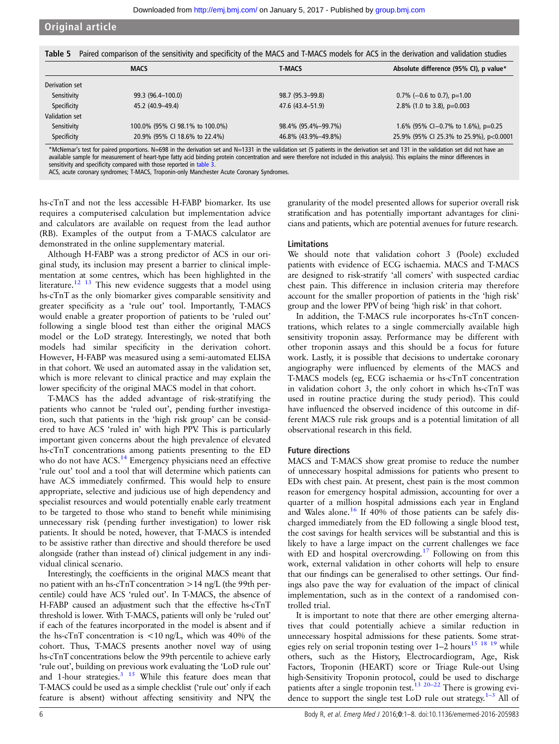<span id="page-5-0"></span>Original article

Table 5 Paired comparison of the sensitivity and specificity of the MACS and T-MACS models for ACS in the derivation and validation studies

| <b>MACS</b>                     | <b>T-MACS</b>       | Absolute difference (95% CI), p value*                                                                                                                                           |
|---------------------------------|---------------------|----------------------------------------------------------------------------------------------------------------------------------------------------------------------------------|
|                                 |                     |                                                                                                                                                                                  |
| 99.3 (96.4-100.0)               | 98.7 (95.3-99.8)    | $0.7\%$ (-0.6 to 0.7), p=1.00                                                                                                                                                    |
| 45.2 (40.9-49.4)                | 47.6 (43.4–51.9)    | 2.8% (1.0 to 3.8), $p=0.003$                                                                                                                                                     |
|                                 |                     |                                                                                                                                                                                  |
| 100.0% (95% CI 98.1% to 100.0%) | 98.4% (95.4%-99.7%) | 1.6% (95% CI-0.7% to 1.6%), p=0.25                                                                                                                                               |
| 20.9% (95% CI 18.6% to 22.4%)   | 46.8% (43.9%-49.8%) | 25.9% (95% CI 25.3% to 25.9%), p<0.0001                                                                                                                                          |
|                                 |                     | the contract of the contract of the contract of the contract of the contract of the contract of the contract of<br>$\mathcal{L}$ as a set of the set of the set of $\mathcal{L}$ |

McNemar's test for paired proportions. N=698 in the derivation set and N=1331 in the validation set (5 patients in the derivation set and 131 in the validation set did not have an available sample for measurement of heart-type fatty acid binding protein concentration and were therefore not included in this analysis). This explains the minor differences in sensitivity and specificity compared with those reported in [table 3](#page-4-0).<br>ACS, acute coronary syndromes; T-MACS, Troponin-only Manchester Acute Coronary Syndromes.

hs-cTnT and not the less accessible H-FABP biomarker. Its use requires a computerised calculation but implementation advice and calculators are available on request from the lead author (RB). Examples of the output from a T-MACS calculator are demonstrated in the online supplementary material.

Although H-FABP was a strong predictor of ACS in our original study, its inclusion may present a barrier to clinical implementation at some centres, which has been highlighted in the literature.<sup>12</sup> <sup>13</sup> This new evidence suggests that a model using hs-cTnT as the only biomarker gives comparable sensitivity and greater specificity as a 'rule out' tool. Importantly, T-MACS would enable a greater proportion of patients to be 'ruled out' following a single blood test than either the original MACS model or the LoD strategy. Interestingly, we noted that both models had similar specificity in the derivation cohort. However, H-FABP was measured using a semi-automated ELISA in that cohort. We used an automated assay in the validation set, which is more relevant to clinical practice and may explain the lower specificity of the original MACS model in that cohort.

T-MACS has the added advantage of risk-stratifying the patients who cannot be 'ruled out', pending further investigation, such that patients in the 'high risk group' can be considered to have ACS 'ruled in' with high PPV. This is particularly important given concerns about the high prevalence of elevated hs-cTnT concentrations among patients presenting to the ED who do not have ACS.<sup>14</sup> Emergency physicians need an effective 'rule out' tool and a tool that will determine which patients can have ACS immediately confirmed. This would help to ensure appropriate, selective and judicious use of high dependency and specialist resources and would potentially enable early treatment to be targeted to those who stand to benefit while minimising unnecessary risk (pending further investigation) to lower risk patients. It should be noted, however, that T-MACS is intended to be assistive rather than directive and should therefore be used alongside (rather than instead of) clinical judgement in any individual clinical scenario.

Interestingly, the coefficients in the original MACS meant that no patient with an hs-cTnT concentration >14 ng/L (the 99th percentile) could have ACS 'ruled out'. In T-MACS, the absence of H-FABP caused an adjustment such that the effective hs-cTnT threshold is lower. With T-MACS, patients will only be 'ruled out' if each of the features incorporated in the model is absent and if the hs-cTnT concentration is <10 ng/L, which was 40% of the cohort. Thus, T-MACS presents another novel way of using hs-cTnT concentrations below the 99th percentile to achieve early 'rule out', building on previous work evaluating the 'LoD rule out' and 1-hour strategies. $3\frac{15}{15}$  $3\frac{15}{15}$  While this feature does mean that T-MACS could be used as a simple checklist ('rule out' only if each feature is absent) without affecting sensitivity and NPV, the

granularity of the model presented allows for superior overall risk stratification and has potentially important advantages for clinicians and patients, which are potential avenues for future research.

#### Limitations

We should note that validation cohort 3 (Poole) excluded patients with evidence of ECG ischaemia. MACS and T-MACS are designed to risk-stratify 'all comers' with suspected cardiac chest pain. This difference in inclusion criteria may therefore account for the smaller proportion of patients in the 'high risk' group and the lower PPV of being 'high risk' in that cohort.

In addition, the T-MACS rule incorporates hs-cTnT concentrations, which relates to a single commercially available high sensitivity troponin assay. Performance may be different with other troponin assays and this should be a focus for future work. Lastly, it is possible that decisions to undertake coronary angiography were influenced by elements of the MACS and T-MACS models (eg, ECG ischaemia or hs-cTnT concentration in validation cohort 3, the only cohort in which hs-cTnT was used in routine practice during the study period). This could have influenced the observed incidence of this outcome in different MACS rule risk groups and is a potential limitation of all observational research in this field.

#### Future directions

MACS and T-MACS show great promise to reduce the number of unnecessary hospital admissions for patients who present to EDs with chest pain. At present, chest pain is the most common reason for emergency hospital admission, accounting for over a quarter of a million hospital admissions each year in England and Wales alone.<sup>[16](#page-7-0)</sup> If 40% of those patients can be safely discharged immediately from the ED following a single blood test, the cost savings for health services will be substantial and this is likely to have a large impact on the current challenges we face with ED and hospital overcrowding.<sup>[17](#page-7-0)</sup> Following on from this work, external validation in other cohorts will help to ensure that our findings can be generalised to other settings. Our findings also pave the way for evaluation of the impact of clinical implementation, such as in the context of a randomised controlled trial.

It is important to note that there are other emerging alternatives that could potentially achieve a similar reduction in unnecessary hospital admissions for these patients. Some strategies rely on serial troponin testing over  $1-2$  hours<sup>15</sup> 18<sup> 19</sup> while others, such as the History, Electrocardiogram, Age, Risk Factors, Troponin (HEART) score or Triage Rule-out Using high-Sensitivity Troponin protocol, could be used to discharge patients after a single troponin test.<sup>13 20–22</sup> There is growing evi-dence to support the single test LoD rule out strategy.<sup>[1](#page-6-0)–3</sup> All of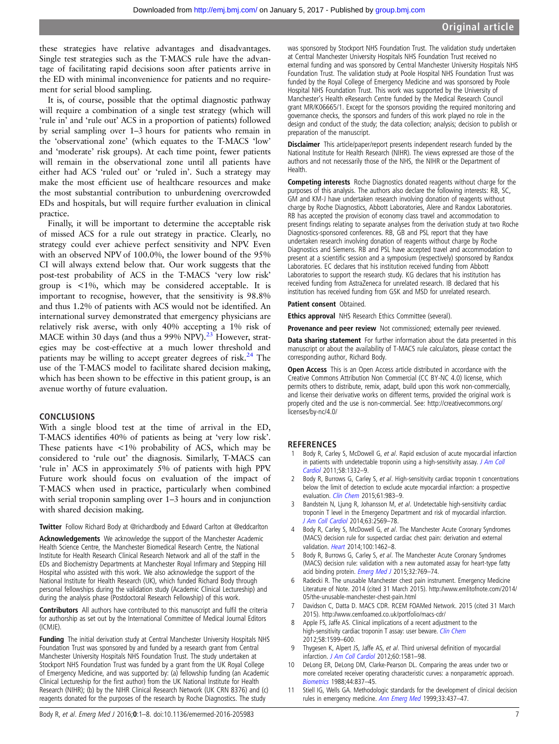<span id="page-6-0"></span>these strategies have relative advantages and disadvantages. Single test strategies such as the T-MACS rule have the advantage of facilitating rapid decisions soon after patients arrive in the ED with minimal inconvenience for patients and no requirement for serial blood sampling.

It is, of course, possible that the optimal diagnostic pathway will require a combination of a single test strategy (which will 'rule in' and 'rule out' ACS in a proportion of patients) followed by serial sampling over 1–3 hours for patients who remain in the 'observational zone' (which equates to the T-MACS 'low' and 'moderate' risk groups). At each time point, fewer patients will remain in the observational zone until all patients have either had ACS 'ruled out' or 'ruled in'. Such a strategy may make the most efficient use of healthcare resources and make the most substantial contribution to unburdening overcrowded EDs and hospitals, but will require further evaluation in clinical practice.

Finally, it will be important to determine the acceptable risk of missed ACS for a rule out strategy in practice. Clearly, no strategy could ever achieve perfect sensitivity and NPV. Even with an observed NPV of 100.0%, the lower bound of the 95% CI will always extend below that. Our work suggests that the post-test probability of ACS in the T-MACS 'very low risk' group is <1%, which may be considered acceptable. It is important to recognise, however, that the sensitivity is 98.8% and thus 1.2% of patients with ACS would not be identified. An international survey demonstrated that emergency physicians are relatively risk averse, with only 40% accepting a 1% risk of MACE within 30 days (and thus a 99% NPV).<sup>[23](#page-7-0)</sup> However, strategies may be cost-effective at a much lower threshold and patients may be willing to accept greater degrees of risk. $24$  The use of the T-MACS model to facilitate shared decision making, which has been shown to be effective in this patient group, is an avenue worthy of future evaluation.

#### CONCLUSIONS

With a single blood test at the time of arrival in the ED, T-MACS identifies 40% of patients as being at 'very low risk'. These patients have <1% probability of ACS, which may be considered to 'rule out' the diagnosis. Similarly, T-MACS can 'rule in' ACS in approximately 5% of patients with high PPV. Future work should focus on evaluation of the impact of T-MACS when used in practice, particularly when combined with serial troponin sampling over 1–3 hours and in conjunction with shared decision making.

Twitter Follow Richard Body at [@richardbody and Edward Carlton at @eddcarlton](http://twitter.com/eddcarlton)

Acknowledgements We acknowledge the support of the Manchester Academic Health Science Centre, the Manchester Biomedical Research Centre, the National Institute for Health Research Clinical Research Network and all of the staff in the EDs and Biochemistry Departments at Manchester Royal Infirmary and Stepping Hill Hospital who assisted with this work. We also acknowledge the support of the National Institute for Health Research (UK), which funded Richard Body through personal fellowships during the validation study (Academic Clinical Lectureship) and during the analysis phase (Postdoctoral Research Fellowship) of this work.

Contributors All authors have contributed to this manuscript and fulfil the criteria for authorship as set out by the International Committee of Medical Journal Editors (ICMJE).

Funding The initial derivation study at Central Manchester University Hospitals NHS Foundation Trust was sponsored by and funded by a research grant from Central Manchester University Hospitals NHS Foundation Trust. The study undertaken at Stockport NHS Foundation Trust was funded by a grant from the UK Royal College of Emergency Medicine, and was supported by: (a) fellowship funding (an Academic Clinical Lectureship for the first author) from the UK National Institute for Health Research (NIHR); (b) by the NIHR Clinical Research Network (UK CRN 8376) and (c) reagents donated for the purposes of the research by Roche Diagnostics. The study

was sponsored by Stockport NHS Foundation Trust. The validation study undertaken at Central Manchester University Hospitals NHS Foundation Trust received no external funding and was sponsored by Central Manchester University Hospitals NHS Foundation Trust. The validation study at Poole Hospital NHS Foundation Trust was funded by the Royal College of Emergency Medicine and was sponsored by Poole Hospital NHS Foundation Trust. This work was supported by the University of Manchester's Health eResearch Centre funded by the Medical Research Council grant MR/K06665/1. Except for the sponsors providing the required monitoring and governance checks, the sponsors and funders of this work played no role in the design and conduct of the study; the data collection; analysis; decision to publish or preparation of the manuscript.

Disclaimer This article/paper/report presents independent research funded by the National Institute for Health Research (NIHR). The views expressed are those of the authors and not necessarily those of the NHS, the NIHR or the Department of Health.

Competing interests Roche Diagnostics donated reagents without charge for the purposes of this analysis. The authors also declare the following interests: RB, SC, GM and KM-J have undertaken research involving donation of reagents without charge by Roche Diagnostics, Abbott Laboratories, Alere and Randox Laboratories. RB has accepted the provision of economy class travel and accommodation to present findings relating to separate analyses from the derivation study at two Roche Diagnostics-sponsored conferences. RB, GB and PSL report that they have undertaken research involving donation of reagents without charge by Roche Diagnostics and Siemens. RB and PSL have accepted travel and accommodation to present at a scientific session and a symposium (respectively) sponsored by Randox Laboratories. EC declares that his institution received funding from Abbott Laboratories to support the research study. KG declares that his institution has received funding from AstraZeneca for unrelated research. IB declared that his institution has received funding from GSK and MSD for unrelated research.

#### Patient consent Obtained.

Ethics approval NHS Research Ethics Committee (several).

Provenance and peer review Not commissioned; externally peer reviewed.

Data sharing statement For further information about the data presented in this manuscript or about the availability of T-MACS rule calculators, please contact the corresponding author, Richard Body.

Open Access This is an Open Access article distributed in accordance with the Creative Commons Attribution Non Commercial (CC BY-NC 4.0) license, which permits others to distribute, remix, adapt, build upon this work non-commercially, and license their derivative works on different terms, provided the original work is properly cited and the use is non-commercial. See: [http://creativecommons.org/](http://creativecommons.org/licenses/by-nc/4.0/) [licenses/by-nc/4.0/](http://creativecommons.org/licenses/by-nc/4.0/)

#### **REFERENCES**

- Body R, Carley S, McDowell G, et al. Rapid exclusion of acute myocardial infarction in patients with undetectable troponin using a high-sensitivity assay. [J Am Coll](http://dx.doi.org/10.1016/j.jacc.2011.06.026) [Cardiol](http://dx.doi.org/10.1016/j.jacc.2011.06.026) 2011;58:1332–9.
- 2 Body R, Burrows G, Carley S, et al. High-sensitivity cardiac troponin t concentrations below the limit of detection to exclude acute myocardial infarction: a prospective evaluation. [Clin Chem](http://dx.doi.org/10.1373/clinchem.2014.231530) 2015;61:983-9.
- Bandstein N, Ljung R, Johansson M, et al. Undetectable high-sensitivity cardiac troponin T level in the Emergency Department and risk of myocardial infarction. [J Am Coll Cardiol](http://dx.doi.org/10.1016/j.jacc.2014.03.017) 2014;63:2569–78.
- 4 Body R, Carley S, McDowell G, et al. The Manchester Acute Coronary Syndromes (MACS) decision rule for suspected cardiac chest pain: derivation and external validation. [Heart](http://dx.doi.org/10.1136/heartjnl-2014-305564) 2014;100:1462-8.
- 5 Body R, Burrows G, Carley S, et al. The Manchester Acute Coronary Syndromes (MACS) decision rule: validation with a new automated assay for heart-type fatty acid binding protein. *[Emerg Med J](http://dx.doi.org/10.1136/emermed-2014-204235)* 2015;32:769-74.
- Radecki R. The unusable Manchester chest pain instrument. Emergency Medicine Literature of Note. 2014 (cited 31 March 2015). [http://www.emlitofnote.com/2014/](http://www.emlitofnote.com/2014/05/the-unusable-manchester-chest-pain.html) [05/the-unusable-manchester-chest-pain.html](http://www.emlitofnote.com/2014/05/the-unusable-manchester-chest-pain.html)
- 7 Davidson C, Datta D. MACS CDR. RCEM FOAMed Network. 2015 (cited 31 March 2015).<http://www.cemfoamed.co.uk/portfolio/macs-cdr/>
- Apple FS, Jaffe AS. Clinical implications of a recent adjustment to the high-sensitivity cardiac troponin T assay: user beware. [Clin Chem](http://dx.doi.org/10.1373/clinchem.2012.194985) 2012;58:1599–600.
- 9 Thygesen K, Alpert JS, Jaffe AS, et al. Third universal definition of myocardial infarction. [J Am Coll Cardiol](http://dx.doi.org/10.1016/j.jacc.2012.08.001) 2012;60:1581–98.
- 10 DeLong ER, DeLong DM, Clarke-Pearson DL. Comparing the areas under two or more correlated receiver operating characteristic curves: a nonparametric approach. [Biometrics](http://dx.doi.org/10.2307/2531595) 1988;44:837–45.
- 11 Stiell IG, Wells GA. Methodologic standards for the development of clinical decision rules in emergency medicine. [Ann Emerg Med](http://dx.doi.org/10.1016/S0196-0644(99)70309-4) 1999;33:437-47.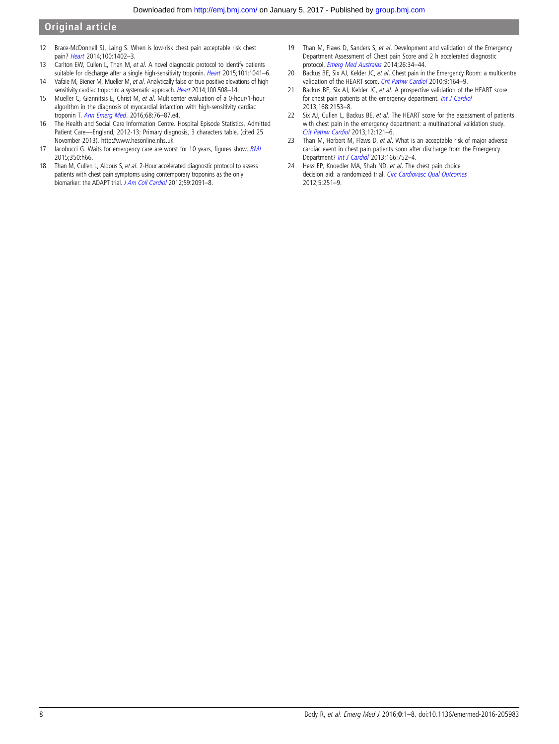## <span id="page-7-0"></span>Original article

- 12 Brace-McDonnell SJ, Laing S. When is low-risk chest pain acceptable risk chest pain? [Heart](http://dx.doi.org/10.1136/heartjnl-2014-306177) 2014;100:1402–3.
- 13 Carlton EW, Cullen L, Than M, et al. A novel diagnostic protocol to identify patients suitable for discharge after a single high-sensitivity troponin. [Heart](http://dx.doi.org/10.1136/heartjnl-2014-307288) 2015;101:1041-6.
- 14 Vafaie M, Biener M, Mueller M, et al. Analytically false or true positive elevations of high sensitivity cardiac troponin: a systematic approach. [Heart](http://dx.doi.org/10.1136/heartjnl-2012-303202) 2014;100:508-14.
- 15 Mueller C, Giannitsis E, Christ M, et al. Multicenter evaluation of a 0-hour/1-hour algorithm in the diagnosis of myocardial infarction with high-sensitivity cardiac troponin T. [Ann Emerg Med](http://dx.doi.org/10.1016/j.annemergmed.2015.11.013). 2016;68:76–87.e4.
- 16 The Health and Social Care Information Centre. Hospital Episode Statistics, Admitted Patient Care—England, 2012-13: Primary diagnosis, 3 characters table. (cited 25 November 2013).<http://www.hesonline.nhs.uk>
- 17 Iacobucci G. Waits for emergency care are worst for 10 years, figures show. [BMJ](http://dx.doi.org/10.1136/bmj.h66) 2015;350:h66.
- 18 Than M, Cullen L, Aldous S, et al. 2-Hour accelerated diagnostic protocol to assess patients with chest pain symptoms using contemporary troponins as the only biomarker: the ADAPT trial. [J Am Coll Cardiol](http://dx.doi.org/10.1016/j.jacc.2012.02.035) 2012;59:2091-8.
- 19 Than M, Flaws D, Sanders S, et al. Development and validation of the Emergency Department Assessment of Chest pain Score and 2 h accelerated diagnostic protocol. [Emerg Med Australas](http://dx.doi.org/10.1111/1742-6723.12164) 2014;26:34–44.
- 20 Backus BE, Six AJ, Kelder JC, et al. Chest pain in the Emergency Room: a multicentre validation of the HEART score. [Crit Pathw Cardiol](http://dx.doi.org/10.1097/HPC.0b013e3181ec36d8) 2010;9:164-9.
- 21 Backus BE, Six AJ, Kelder JC, et al. A prospective validation of the HEART score for chest pain patients at the emergency department. [Int J Cardiol](http://dx.doi.org/10.1016/j.ijcard.2013.01.255) 2013;168:2153–8.
- 22 Six AJ, Cullen L, Backus BE, et al. The HEART score for the assessment of patients with chest pain in the emergency department: a multinational validation study. [Crit Pathw Cardiol](http://dx.doi.org/10.1097/HPC.0b013e31828b327e) 2013;12:121–6.
- 23 Than M, Herbert M, Flaws D, et al. What is an acceptable risk of major adverse cardiac event in chest pain patients soon after discharge from the Emergency Department? [Int J Cardiol](http://dx.doi.org/10.1016/j.ijcard.2012.09.171) 2013;166:752–4.
- 24 Hess EP, Knoedler MA, Shah ND, et al. The chest pain choice decision aid: a randomized trial. [Circ Cardiovasc Qual Outcomes](http://dx.doi.org/10.1161/CIRCOUTCOMES.111.964791) 2012;5:251–9.